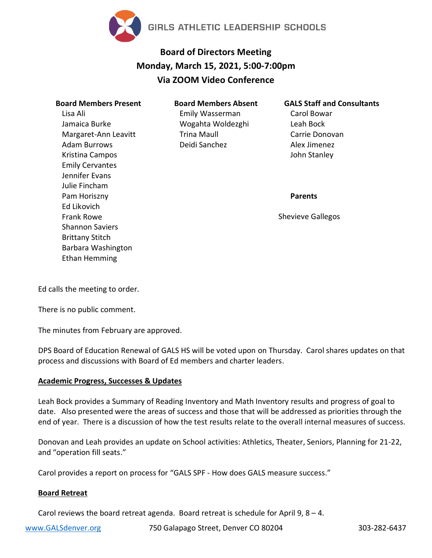

# **Board of Directors Meeting Monday, March 15, 2021, 5:00-7:00pm Via ZOOM Video Conference**

| <b>Board Members Present</b> | <b>Board Members Absent</b> | <b>GALS Staff and Consultants</b> |
|------------------------------|-----------------------------|-----------------------------------|
| Lisa Ali                     | Emily Wasserman             | Carol Bowar                       |
| Jamaica Burke                | Wogahta Woldezghi           | Leah Bock                         |
| Margaret-Ann Leavitt         | Trina Maull                 | Carrie Donovan                    |
| <b>Adam Burrows</b>          | Deidi Sanchez               | Alex Jimenez                      |
| Kristina Campos              |                             | John Stanley                      |
| <b>Emily Cervantes</b>       |                             |                                   |
| Jennifer Evans               |                             |                                   |
| Julie Fincham                |                             |                                   |
| Pam Horiszny                 |                             | <b>Parents</b>                    |
| Ed Likovich                  |                             |                                   |
| <b>Frank Rowe</b>            |                             | <b>Shevieve Gallegos</b>          |
| <b>Shannon Saviers</b>       |                             |                                   |
| <b>Brittany Stitch</b>       |                             |                                   |
| Barbara Washington           |                             |                                   |
| Ethan Hemming                |                             |                                   |

Ed calls the meeting to order.

There is no public comment.

The minutes from February are approved.

DPS Board of Education Renewal of GALS HS will be voted upon on Thursday. Carol shares updates on that process and discussions with Board of Ed members and charter leaders.

# **Academic Progress, Successes & Updates**

Leah Bock provides a Summary of Reading Inventory and Math Inventory results and progress of goal to date. Also presented were the areas of success and those that will be addressed as priorities through the end of year. There is a discussion of how the test results relate to the overall internal measures of success.

Donovan and Leah provides an update on School activities: Athletics, Theater, Seniors, Planning for 21-22, and "operation fill seats."

Carol provides a report on process for "GALS SPF - How does GALS measure success."

# **Board Retreat**

Carol reviews the board retreat agenda. Board retreat is schedule for April 9,  $8 - 4$ .